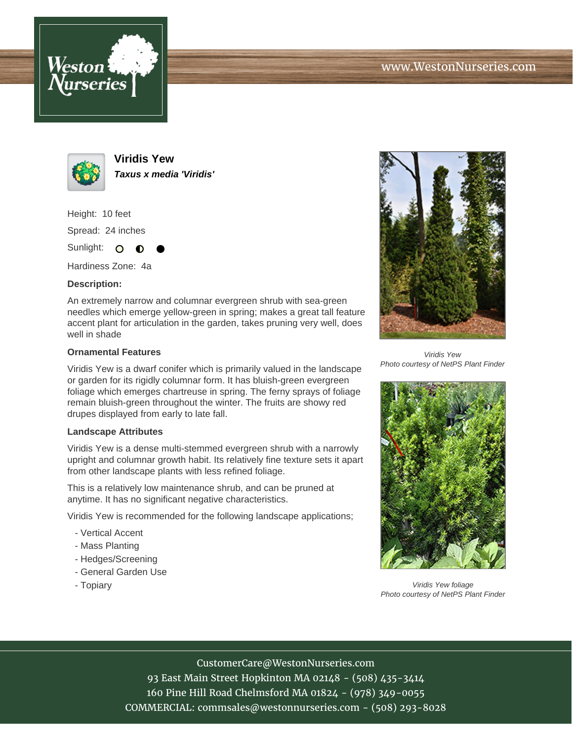



**Viridis Yew Taxus x media 'Viridis'**

Height: 10 feet Spread: 24 inches Sunlight: O **O** 

Hardiness Zone: 4a

## **Description:**

An extremely narrow and columnar evergreen shrub with sea-green needles which emerge yellow-green in spring; makes a great tall feature accent plant for articulation in the garden, takes pruning very well, does well in shade

## **Ornamental Features**

Viridis Yew is a dwarf conifer which is primarily valued in the landscape or garden for its rigidly columnar form. It has bluish-green evergreen foliage which emerges chartreuse in spring. The ferny sprays of foliage remain bluish-green throughout the winter. The fruits are showy red drupes displayed from early to late fall.

## **Landscape Attributes**

Viridis Yew is a dense multi-stemmed evergreen shrub with a narrowly upright and columnar growth habit. Its relatively fine texture sets it apart from other landscape plants with less refined foliage.

This is a relatively low maintenance shrub, and can be pruned at anytime. It has no significant negative characteristics.

Viridis Yew is recommended for the following landscape applications;

- Vertical Accent
- Mass Planting
- Hedges/Screening
- General Garden Use
- Topiary



Viridis Yew Photo courtesy of NetPS Plant Finder



Viridis Yew foliage Photo courtesy of NetPS Plant Finder

CustomerCare@WestonNurseries.com

93 East Main Street Hopkinton MA 02148 - (508) 435-3414 160 Pine Hill Road Chelmsford MA 01824 - (978) 349-0055 COMMERCIAL: commsales@westonnurseries.com - (508) 293-8028